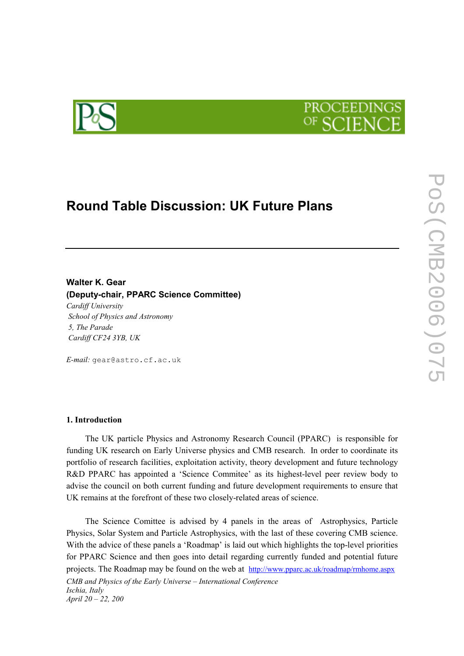



# Round Table Discussion: UK Future Plans

## Walter K. Gear (Deputy-chair, PPARC Science Committee)

Cardiff University School of Physics and Astronomy 5, The Parade Cardiff CF24 3YB, UK

E-mail: gear@astro.cf.ac.uk

#### 1. Introduction

The UK particle Physics and Astronomy Research Council (PPARC) is responsible for funding UK research on Early Universe physics and CMB research. In order to coordinate its portfolio of research facilities, exploitation activity, theory development and future technology R&D PPARC has appointed a 'Science Commitee' as its highest-level peer review body to advise the council on both current funding and future development requirements to ensure that UK remains at the forefront of these two closely-related areas of science.

CMB and Physics of the Early Universe – International Conference Ischia, Italy April 20 – 22, 200 The Science Comittee is advised by 4 panels in the areas of Astrophysics, Particle Physics, Solar System and Particle Astrophysics, with the last of these covering CMB science. With the advice of these panels a 'Roadmap' is laid out which highlights the top-level priorities for PPARC Science and then goes into detail regarding currently funded and potential future projects. The Roadmap may be found on the web at http://www.pparc.ac.uk/roadmap/rmhome.aspx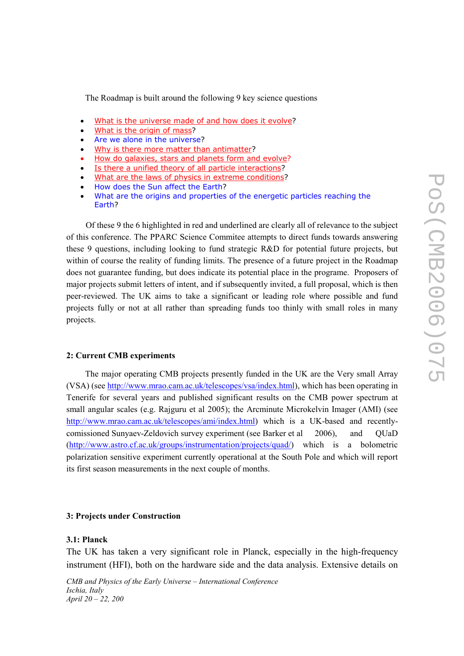The Roadmap is built around the following 9 key science questions

- What is the universe made of and how does it evolve?
- What is the origin of mass?
- Are we alone in the universe?
- Why is there more matter than antimatter?
- How do galaxies, stars and planets form and evolve?
- Is there a unified theory of all particle interactions?
- What are the laws of physics in extreme conditions?
- How does the Sun affect the Earth?
- What are the origins and properties of the energetic particles reaching the Earth?

 Of these 9 the 6 highlighted in red and underlined are clearly all of relevance to the subject of this conference. The PPARC Science Commitee attempts to direct funds towards answering these 9 questions, including looking to fund strategic R&D for potential future projects, but within of course the reality of funding limits. The presence of a future project in the Roadmap does not guarantee funding, but does indicate its potential place in the programe. Proposers of major projects submit letters of intent, and if subsequently invited, a full proposal, which is then peer-reviewed. The UK aims to take a significant or leading role where possible and fund projects fully or not at all rather than spreading funds too thinly with small roles in many projects.

### 2: Current CMB experiments

The major operating CMB projects presently funded in the UK are the Very small Array (VSA) (see http://www.mrao.cam.ac.uk/telescopes/vsa/index.html), which has been operating in Tenerife for several years and published significant results on the CMB power spectrum at small angular scales (e.g. Rajguru et al 2005); the Arcminute Microkelvin Imager (AMI) (see http://www.mrao.cam.ac.uk/telescopes/ami/index.html) which is a UK-based and recentlycomissioned Sunyaev-Zeldovich survey experiment (see Barker et al 2006), and QUaD (http://www.astro.cf.ac.uk/groups/instrumentation/projects/quad/) which is a bolometric polarization sensitive experiment currently operational at the South Pole and which will report its first season measurements in the next couple of months.

#### 3: Projects under Construction

#### 3.1: Planck

The UK has taken a very significant role in Planck, especially in the high-frequency instrument (HFI), both on the hardware side and the data analysis. Extensive details on

CMB and Physics of the Early Universe – International Conference Ischia, Italy April 20 – 22, 200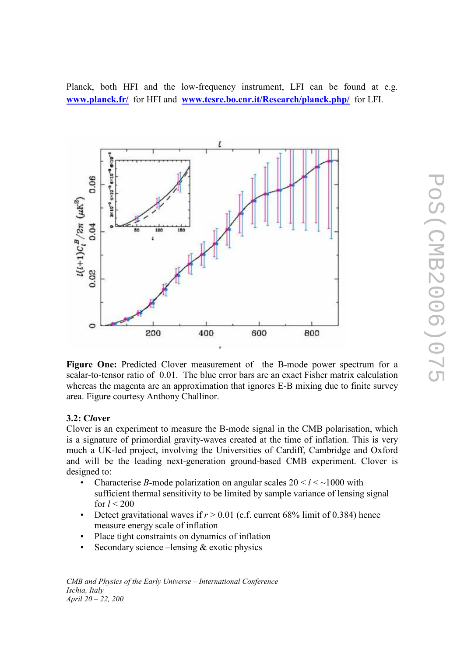$\overline{5}$ 

Planck, both HFI and the low-frequency instrument, LFI can be found at e.g. www.planck.fr/ for HFI and www.tesre.bo.cnr.it/Research/planck.php/ for LFI.



Figure One: Predicted Clover measurement of the B-mode power spectrum for a scalar-to-tensor ratio of 0.01. The blue error bars are an exact Fisher matrix calculation whereas the magenta are an approximation that ignores E-B mixing due to finite survey area. Figure courtesy Anthony Challinor.

## 3.2: Clover

Clover is an experiment to measure the B-mode signal in the CMB polarisation, which is a signature of primordial gravity-waves created at the time of inflation. This is very much a UK-led project, involving the Universities of Cardiff, Cambridge and Oxford and will be the leading next-generation ground-based CMB experiment. Clover is designed to:

- Characterise B-mode polarization on angular scales  $20 < l <$  ~1000 with sufficient thermal sensitivity to be limited by sample variance of lensing signal for  $l < 200$
- Detect gravitational waves if  $r > 0.01$  (c.f. current 68% limit of 0.384) hence measure energy scale of inflation
- Place tight constraints on dynamics of inflation
- Secondary science –lensing & exotic physics